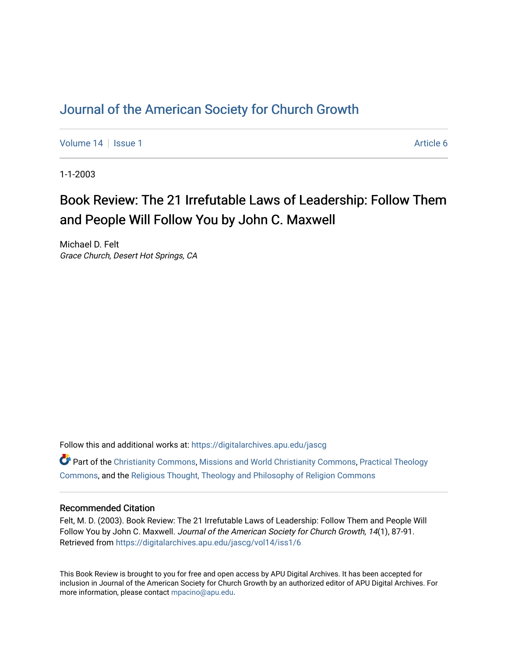## [Journal of the American Society for Church Growth](https://digitalarchives.apu.edu/jascg)

[Volume 14](https://digitalarchives.apu.edu/jascg/vol14) Suitsue 1 Article 6

1-1-2003

# Book Review: The 21 Irrefutable Laws of Leadership: Follow Them and People Will Follow You by John C. Maxwell

Michael D. Felt Grace Church, Desert Hot Springs, CA

Follow this and additional works at: [https://digitalarchives.apu.edu/jascg](https://digitalarchives.apu.edu/jascg?utm_source=digitalarchives.apu.edu%2Fjascg%2Fvol14%2Fiss1%2F6&utm_medium=PDF&utm_campaign=PDFCoverPages) 

 $\bullet$  Part of the [Christianity Commons,](http://network.bepress.com/hgg/discipline/1181?utm_source=digitalarchives.apu.edu%2Fjascg%2Fvol14%2Fiss1%2F6&utm_medium=PDF&utm_campaign=PDFCoverPages) [Missions and World Christianity Commons](http://network.bepress.com/hgg/discipline/1187?utm_source=digitalarchives.apu.edu%2Fjascg%2Fvol14%2Fiss1%2F6&utm_medium=PDF&utm_campaign=PDFCoverPages), Practical Theology [Commons](http://network.bepress.com/hgg/discipline/1186?utm_source=digitalarchives.apu.edu%2Fjascg%2Fvol14%2Fiss1%2F6&utm_medium=PDF&utm_campaign=PDFCoverPages), and the [Religious Thought, Theology and Philosophy of Religion Commons](http://network.bepress.com/hgg/discipline/544?utm_source=digitalarchives.apu.edu%2Fjascg%2Fvol14%2Fiss1%2F6&utm_medium=PDF&utm_campaign=PDFCoverPages) 

## Recommended Citation

Felt, M. D. (2003). Book Review: The 21 Irrefutable Laws of Leadership: Follow Them and People Will Follow You by John C. Maxwell. Journal of the American Society for Church Growth, 14(1), 87-91. Retrieved from [https://digitalarchives.apu.edu/jascg/vol14/iss1/6](https://digitalarchives.apu.edu/jascg/vol14/iss1/6?utm_source=digitalarchives.apu.edu%2Fjascg%2Fvol14%2Fiss1%2F6&utm_medium=PDF&utm_campaign=PDFCoverPages)

This Book Review is brought to you for free and open access by APU Digital Archives. It has been accepted for inclusion in Journal of the American Society for Church Growth by an authorized editor of APU Digital Archives. For more information, please contact [mpacino@apu.edu](mailto:mpacino@apu.edu).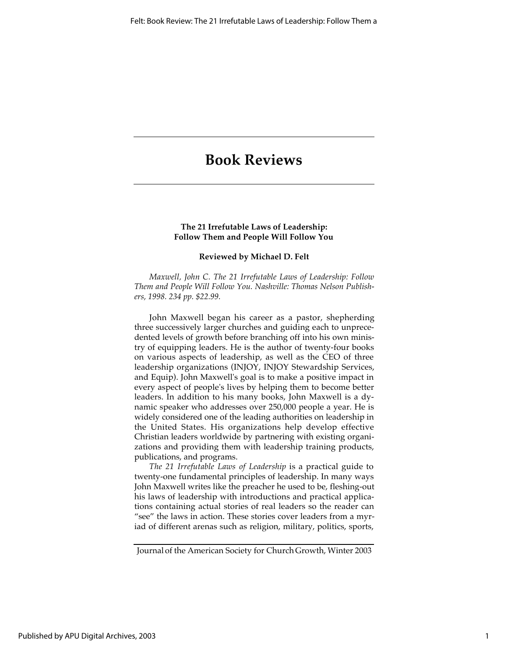## **Book Reviews**

### **The 21 Irrefutable Laws of Leadership: Follow Them and People Will Follow You**

#### **Reviewed by Michael D. Felt**

*Maxwell, John C. The 21 Irrefutable Laws of Leadership: Follow Them and People Will Follow You. Nashville: Thomas Nelson Publishers, 1998. 234 pp. \$22.99.*

John Maxwell began his career as a pastor, shepherding three successively larger churches and guiding each to unprecedented levels of growth before branching off into his own ministry of equipping leaders. He is the author of twenty-four books on various aspects of leadership, as well as the CEO of three leadership organizations (INJOY, INJOY Stewardship Services, and Equip). John Maxwell's goal is to make a positive impact in every aspect of people's lives by helping them to become better leaders. In addition to his many books, John Maxwell is a dynamic speaker who addresses over 250,000 people a year. He is widely considered one of the leading authorities on leadership in the United States. His organizations help develop effective Christian leaders worldwide by partnering with existing organizations and providing them with leadership training products, publications, and programs.

*The 21 Irrefutable Laws of Leadership* is a practical guide to twenty-one fundamental principles of leadership. In many ways John Maxwell writes like the preacher he used to be, fleshing-out his laws of leadership with introductions and practical applications containing actual stories of real leaders so the reader can "see" the laws in action. These stories cover leaders from a myriad of different arenas such as religion, military, politics, sports,

Journal of the American Society for Church Growth, Winter 2003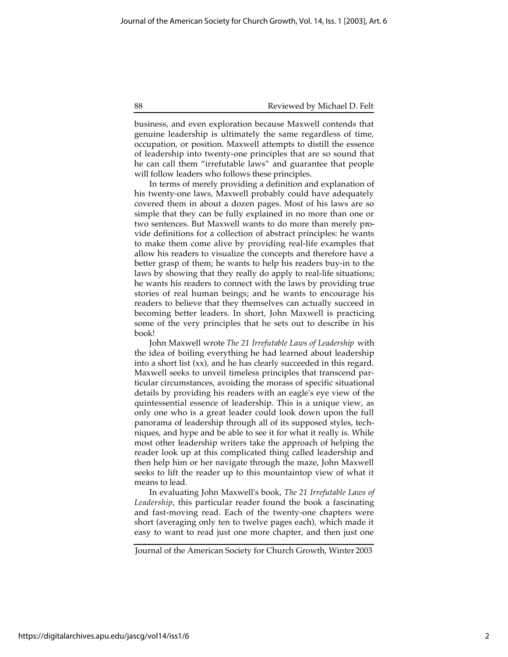#### 88 Reviewed by Michael D. Felt

business, and even exploration because Maxwell contends that genuine leadership is ultimately the same regardless of time, occupation, or position. Maxwell attempts to distill the essence of leadership into twenty-one principles that are so sound that he can call them "irrefutable laws" and guarantee that people will follow leaders who follows these principles.

In terms of merely providing a definition and explanation of his twenty-one laws, Maxwell probably could have adequately covered them in about a dozen pages. Most of his laws are so simple that they can be fully explained in no more than one or two sentences. But Maxwell wants to do more than merely provide definitions for a collection of abstract principles: he wants to make them come alive by providing real-life examples that allow his readers to visualize the concepts and therefore have a better grasp of them; he wants to help his readers buy-in to the laws by showing that they really do apply to real-life situations; he wants his readers to connect with the laws by providing true stories of real human beings; and he wants to encourage his readers to believe that they themselves can actually succeed in becoming better leaders. In short, John Maxwell is practicing some of the very principles that he sets out to describe in his book!

John Maxwell wrote *The 21 Irrefutable Laws of Leadership* with the idea of boiling everything he had learned about leadership into a short list (xx), and he has clearly succeeded in this regard. Maxwell seeks to unveil timeless principles that transcend particular circumstances, avoiding the morass of specific situational details by providing his readers with an eagle's eye view of the quintessential essence of leadership. This is a unique view, as only one who is a great leader could look down upon the full panorama of leadership through all of its supposed styles, techniques, and hype and be able to see it for what it really is. While most other leadership writers take the approach of helping the reader look up at this complicated thing called leadership and then help him or her navigate through the maze, John Maxwell seeks to lift the reader up to this mountaintop view of what it means to lead.

In evaluating John Maxwell's book, *The 21 Irrefutable Laws of Leadership*, this particular reader found the book a fascinating and fast-moving read. Each of the twenty-one chapters were short (averaging only ten to twelve pages each), which made it easy to want to read just one more chapter, and then just one

Journal of the American Society for Church Growth, Winter 2003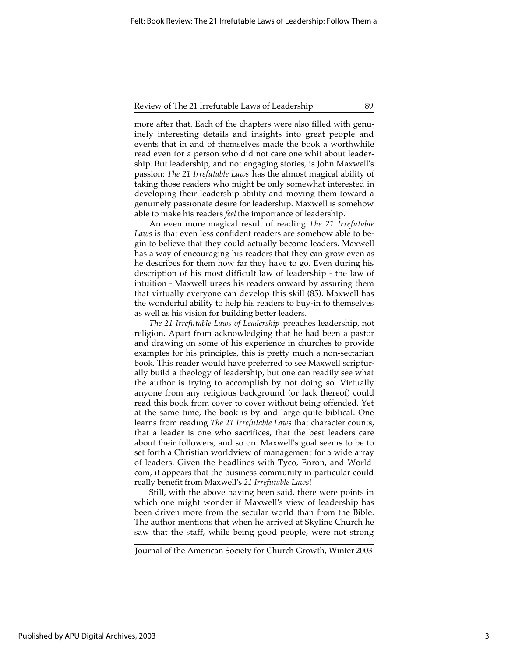#### Review of The 21 Irrefutable Laws of Leadership 89

more after that. Each of the chapters were also filled with genuinely interesting details and insights into great people and events that in and of themselves made the book a worthwhile read even for a person who did not care one whit about leadership. But leadership, and not engaging stories, is John Maxwell's passion: *The 21 Irrefutable Laws* has the almost magical ability of taking those readers who might be only somewhat interested in developing their leadership ability and moving them toward a genuinely passionate desire for leadership. Maxwell is somehow able to make his readers *feel* the importance of leadership.

An even more magical result of reading *The 21 Irrefutable Laws* is that even less confident readers are somehow able to begin to believe that they could actually become leaders. Maxwell has a way of encouraging his readers that they can grow even as he describes for them how far they have to go. Even during his description of his most difficult law of leadership - the law of intuition - Maxwell urges his readers onward by assuring them that virtually everyone can develop this skill (85). Maxwell has the wonderful ability to help his readers to buy-in to themselves as well as his vision for building better leaders.

*The 21 Irrefutable Laws of Leadership* preaches leadership, not religion. Apart from acknowledging that he had been a pastor and drawing on some of his experience in churches to provide examples for his principles, this is pretty much a non-sectarian book. This reader would have preferred to see Maxwell scripturally build a theology of leadership, but one can readily see what the author is trying to accomplish by not doing so. Virtually anyone from any religious background (or lack thereof) could read this book from cover to cover without being offended. Yet at the same time, the book is by and large quite biblical. One learns from reading *The 21 Irrefutable Laws* that character counts, that a leader is one who sacrifices, that the best leaders care about their followers, and so on. Maxwell's goal seems to be to set forth a Christian worldview of management for a wide array of leaders. Given the headlines with Tyco, Enron, and Worldcom, it appears that the business community in particular could really benefit from Maxwell's *21 Irrefutable Laws*!

Still, with the above having been said, there were points in which one might wonder if Maxwell's view of leadership has been driven more from the secular world than from the Bible. The author mentions that when he arrived at Skyline Church he saw that the staff, while being good people, were not strong

Journal of the American Society for Church Growth, Winter 2003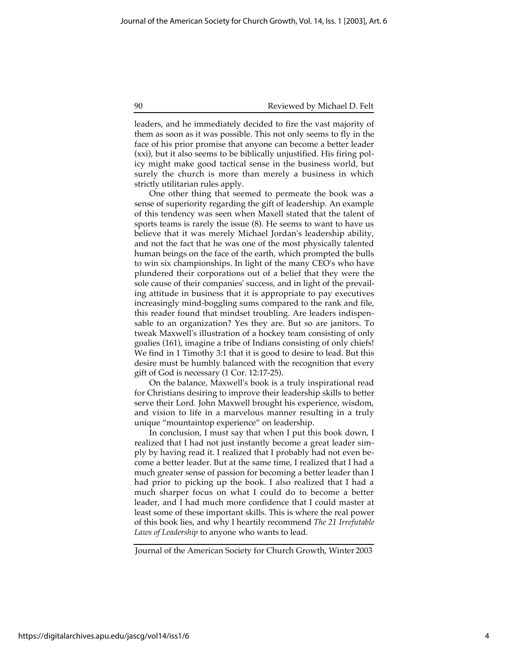#### 90 Reviewed by Michael D. Felt

leaders, and he immediately decided to fire the vast majority of them as soon as it was possible. This not only seems to fly in the face of his prior promise that anyone can become a better leader (xxi), but it also seems to be biblically unjustified. His firing policy might make good tactical sense in the business world, but surely the church is more than merely a business in which strictly utilitarian rules apply.

One other thing that seemed to permeate the book was a sense of superiority regarding the gift of leadership. An example of this tendency was seen when Maxell stated that the talent of sports teams is rarely the issue (8). He seems to want to have us believe that it was merely Michael Jordan's leadership ability, and not the fact that he was one of the most physically talented human beings on the face of the earth, which prompted the bulls to win six championships. In light of the many CEO's who have plundered their corporations out of a belief that they were the sole cause of their companies' success, and in light of the prevailing attitude in business that it is appropriate to pay executives increasingly mind-boggling sums compared to the rank and file, this reader found that mindset troubling. Are leaders indispensable to an organization? Yes they are. But so are janitors. To tweak Maxwell's illustration of a hockey team consisting of only goalies (161), imagine a tribe of Indians consisting of only chiefs! We find in 1 Timothy 3:1 that it is good to desire to lead. But this desire must be humbly balanced with the recognition that every gift of God is necessary (1 Cor. 12:17-25).

On the balance, Maxwell's book is a truly inspirational read for Christians desiring to improve their leadership skills to better serve their Lord. John Maxwell brought his experience, wisdom, and vision to life in a marvelous manner resulting in a truly unique "mountaintop experience" on leadership.

In conclusion, I must say that when I put this book down, I realized that I had not just instantly become a great leader simply by having read it. I realized that I probably had not even become a better leader. But at the same time, I realized that I had a much greater sense of passion for becoming a better leader than I had prior to picking up the book. I also realized that I had a much sharper focus on what I could do to become a better leader, and I had much more confidence that I could master at least some of these important skills. This is where the real power of this book lies, and why I heartily recommend *The 21 Irrefutable Laws of Leadership* to anyone who wants to lead.

Journal of the American Society for Church Growth, Winter 2003